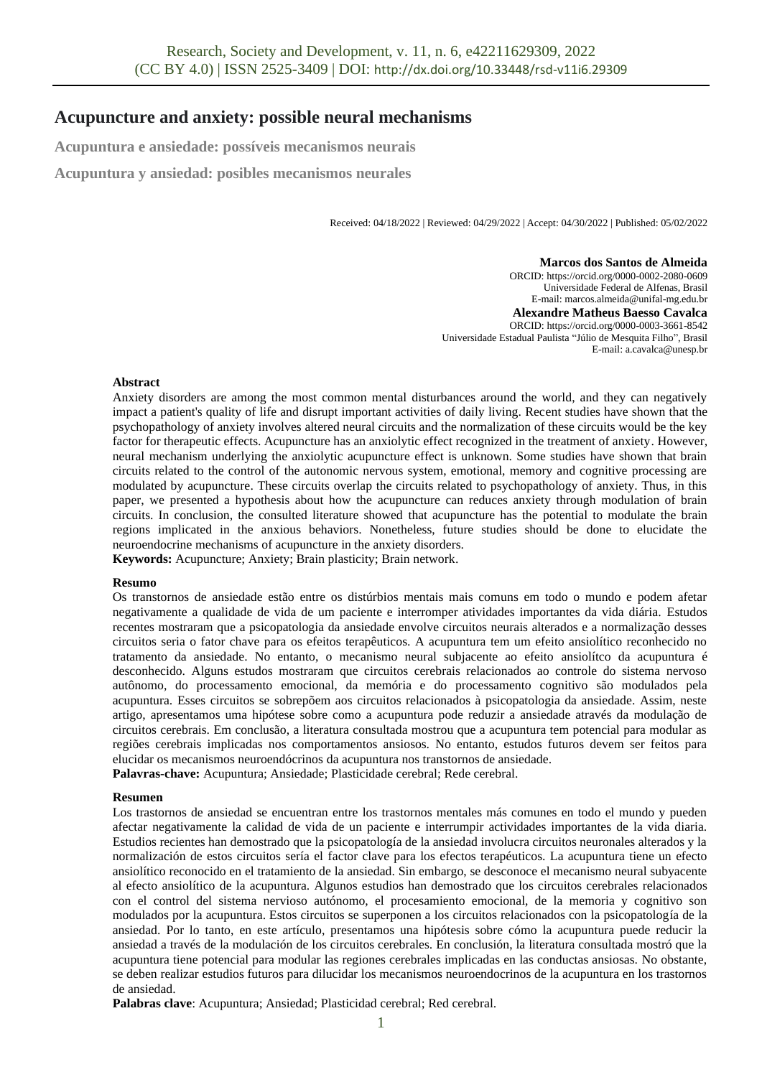# **Acupuncture and anxiety: possible neural mechanisms**

**Acupuntura e ansiedade: possíveis mecanismos neurais**

**Acupuntura y ansiedad: posibles mecanismos neurales**

Received: 04/18/2022 | Reviewed: 04/29/2022 | Accept: 04/30/2022 | Published: 05/02/2022

**Marcos dos Santos de Almeida** ORCID: https://orcid.org/0000-0002-2080-0609 Universidade Federal de Alfenas, Brasil E-mail: marcos.almeida@unifal-mg.edu.br **Alexandre Matheus Baesso Cavalca** ORCID: https://orcid.org/0000-0003-3661-8542 Universidade Estadual Paulista "Júlio de Mesquita Filho", Brasil

E-mail: a.cavalca@unesp.br

#### **Abstract**

Anxiety disorders are among the most common mental disturbances around the world, and they can negatively impact a patient's quality of life and disrupt important activities of daily living. Recent studies have shown that the psychopathology of anxiety involves altered neural circuits and the normalization of these circuits would be the key factor for therapeutic effects. Acupuncture has an anxiolytic effect recognized in the treatment of anxiety. However, neural mechanism underlying the anxiolytic acupuncture effect is unknown. Some studies have shown that brain circuits related to the control of the autonomic nervous system, emotional, memory and cognitive processing are modulated by acupuncture. These circuits overlap the circuits related to psychopathology of anxiety. Thus, in this paper, we presented a hypothesis about how the acupuncture can reduces anxiety through modulation of brain circuits. In conclusion, the consulted literature showed that acupuncture has the potential to modulate the brain regions implicated in the anxious behaviors. Nonetheless, future studies should be done to elucidate the neuroendocrine mechanisms of acupuncture in the anxiety disorders.

**Keywords:** Acupuncture; Anxiety; Brain plasticity; Brain network.

#### **Resumo**

Os transtornos de ansiedade estão entre os distúrbios mentais mais comuns em todo o mundo e podem afetar negativamente a qualidade de vida de um paciente e interromper atividades importantes da vida diária. Estudos recentes mostraram que a psicopatologia da ansiedade envolve circuitos neurais alterados e a normalização desses circuitos seria o fator chave para os efeitos terapêuticos. A acupuntura tem um efeito ansiolítico reconhecido no tratamento da ansiedade. No entanto, o mecanismo neural subjacente ao efeito ansiolítco da acupuntura é desconhecido. Alguns estudos mostraram que circuitos cerebrais relacionados ao controle do sistema nervoso autônomo, do processamento emocional, da memória e do processamento cognitivo são modulados pela acupuntura. Esses circuitos se sobrepõem aos circuitos relacionados à psicopatologia da ansiedade. Assim, neste artigo, apresentamos uma hipótese sobre como a acupuntura pode reduzir a ansiedade através da modulação de circuitos cerebrais. Em conclusão, a literatura consultada mostrou que a acupuntura tem potencial para modular as regiões cerebrais implicadas nos comportamentos ansiosos. No entanto, estudos futuros devem ser feitos para elucidar os mecanismos neuroendócrinos da acupuntura nos transtornos de ansiedade. **Palavras-chave:** Acupuntura; Ansiedade; Plasticidade cerebral; Rede cerebral.

## **Resumen**

Los trastornos de ansiedad se encuentran entre los trastornos mentales más comunes en todo el mundo y pueden afectar negativamente la calidad de vida de un paciente e interrumpir actividades importantes de la vida diaria. Estudios recientes han demostrado que la psicopatología de la ansiedad involucra circuitos neuronales alterados y la normalización de estos circuitos sería el factor clave para los efectos terapéuticos. La acupuntura tiene un efecto ansiolítico reconocido en el tratamiento de la ansiedad. Sin embargo, se desconoce el mecanismo neural subyacente al efecto ansiolítico de la acupuntura. Algunos estudios han demostrado que los circuitos cerebrales relacionados con el control del sistema nervioso autónomo, el procesamiento emocional, de la memoria y cognitivo son modulados por la acupuntura. Estos circuitos se superponen a los circuitos relacionados con la psicopatología de la ansiedad. Por lo tanto, en este artículo, presentamos una hipótesis sobre cómo la acupuntura puede reducir la ansiedad a través de la modulación de los circuitos cerebrales. En conclusión, la literatura consultada mostró que la acupuntura tiene potencial para modular las regiones cerebrales implicadas en las conductas ansiosas. No obstante, se deben realizar estudios futuros para dilucidar los mecanismos neuroendocrinos de la acupuntura en los trastornos de ansiedad.

**Palabras clave**: Acupuntura; Ansiedad; Plasticidad cerebral; Red cerebral.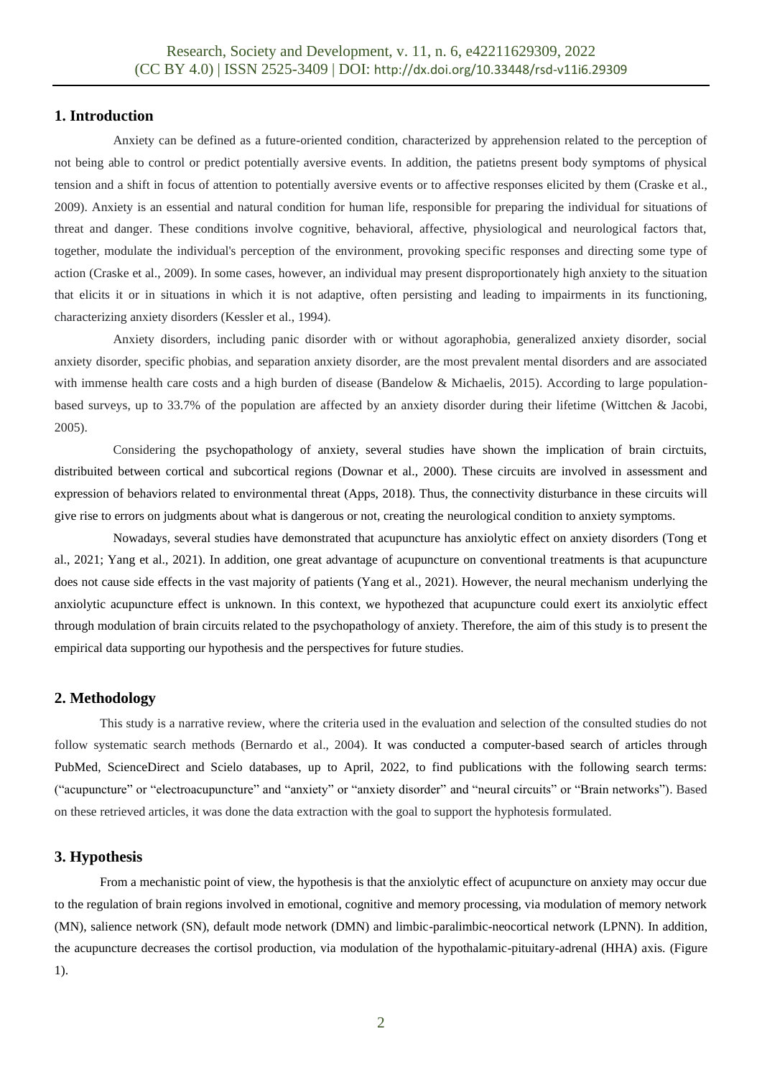## **1. Introduction**

Anxiety can be defined as a future-oriented condition, characterized by apprehension related to the perception of not being able to control or predict potentially aversive events. In addition, the patietns present body symptoms of physical tension and a shift in focus of attention to potentially aversive events or to affective responses elicited by them (Craske et al., 2009). Anxiety is an essential and natural condition for human life, responsible for preparing the individual for situations of threat and danger. These conditions involve cognitive, behavioral, affective, physiological and neurological factors that, together, modulate the individual's perception of the environment, provoking specific responses and directing some type of action (Craske et al., 2009). In some cases, however, an individual may present disproportionately high anxiety to the situation that elicits it or in situations in which it is not adaptive, often persisting and leading to impairments in its functioning, characterizing anxiety disorders (Kessler et al., 1994).

Anxiety disorders, including panic disorder with or without agoraphobia, generalized anxiety disorder, social anxiety disorder, specific phobias, and separation anxiety disorder, are the most prevalent mental disorders and are associated with immense health care costs and a high burden of disease (Bandelow & Michaelis, 2015). According to large populationbased surveys, up to 33.7% of the population are affected by an anxiety disorder during their lifetime (Wittchen & Jacobi, 2005).

Considering the psychopathology of anxiety, several studies have shown the implication of brain circtuits, distribuited between cortical and subcortical regions (Downar et al., 2000). These circuits are involved in assessment and expression of behaviors related to environmental threat (Apps, 2018). Thus, the connectivity disturbance in these circuits will give rise to errors on judgments about what is dangerous or not, creating the neurological condition to anxiety symptoms.

Nowadays, several studies have demonstrated that acupuncture has anxiolytic effect on anxiety disorders (Tong et al., 2021; Yang et al., 2021). In addition, one great advantage of acupuncture on conventional treatments is that acupuncture does not cause side effects in the vast majority of patients (Yang et al., 2021). However, the neural mechanism underlying the anxiolytic acupuncture effect is unknown. In this context, we hypothezed that acupuncture could exert its anxiolytic effect through modulation of brain circuits related to the psychopathology of anxiety. Therefore, the aim of this study is to present the empirical data supporting our hypothesis and the perspectives for future studies.

# **2. Methodology**

This study is a narrative review, where the criteria used in the evaluation and selection of the consulted studies do not follow systematic search methods (Bernardo et al., 2004). It was conducted a computer-based search of articles through PubMed, ScienceDirect and Scielo databases, up to April, 2022, to find publications with the following search terms: ("acupuncture" or "electroacupuncture" and "anxiety" or "anxiety disorder" and "neural circuits" or "Brain networks"). Based on these retrieved articles, it was done the data extraction with the goal to support the hyphotesis formulated.

## **3. Hypothesis**

From a mechanistic point of view, the hypothesis is that the anxiolytic effect of acupuncture on anxiety may occur due to the regulation of brain regions involved in emotional, cognitive and memory processing, via modulation of memory network (MN), salience network (SN), default mode network (DMN) and limbic-paralimbic-neocortical network (LPNN). In addition, the acupuncture decreases the cortisol production, via modulation of the hypothalamic-pituitary-adrenal (HHA) axis. (Figure 1).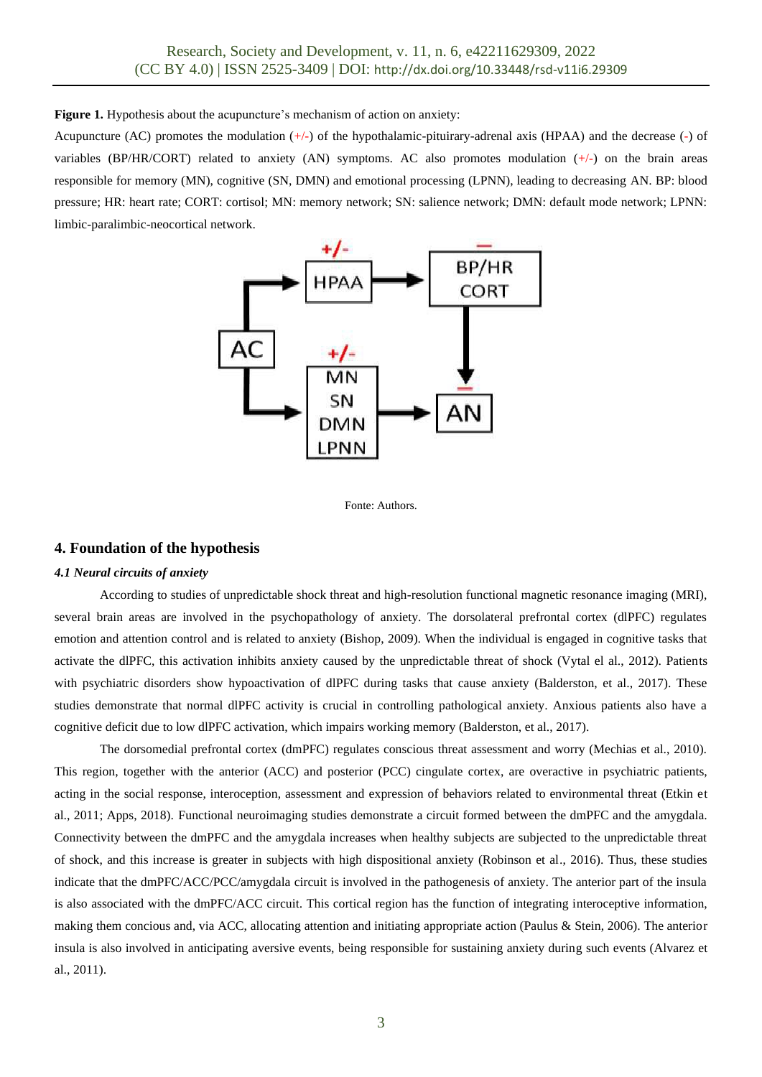**Figure 1.** Hypothesis about the acupuncture's mechanism of action on anxiety:

Acupuncture (AC) promotes the modulation  $(+)$  of the hypothalamic-pituirary-adrenal axis (HPAA) and the decrease (-) of variables (BP/HR/CORT) related to anxiety (AN) symptoms. AC also promotes modulation (+/-) on the brain areas responsible for memory (MN), cognitive (SN, DMN) and emotional processing (LPNN), leading to decreasing AN. BP: blood pressure; HR: heart rate; CORT: cortisol; MN: memory network; SN: salience network; DMN: default mode network; LPNN: limbic-paralimbic-neocortical network.





## **4. Foundation of the hypothesis**

#### *4.1 Neural circuits of anxiety*

According to studies of unpredictable shock threat and high-resolution functional magnetic resonance imaging (MRI), several brain areas are involved in the psychopathology of anxiety. The dorsolateral prefrontal cortex (dlPFC) regulates emotion and attention control and is related to anxiety (Bishop, 2009). When the individual is engaged in cognitive tasks that activate the dlPFC, this activation inhibits anxiety caused by the unpredictable threat of shock (Vytal el al., 2012). Patients with psychiatric disorders show hypoactivation of dlPFC during tasks that cause anxiety (Balderston, et al., 2017). These studies demonstrate that normal dlPFC activity is crucial in controlling pathological anxiety. Anxious patients also have a cognitive deficit due to low dlPFC activation, which impairs working memory (Balderston, et al., 2017).

The dorsomedial prefrontal cortex (dmPFC) regulates conscious threat assessment and worry (Mechias et al., 2010). This region, together with the anterior (ACC) and posterior (PCC) cingulate cortex, are overactive in psychiatric patients, acting in the social response, interoception, assessment and expression of behaviors related to environmental threat (Etkin et al., 2011; Apps, 2018). Functional neuroimaging studies demonstrate a circuit formed between the dmPFC and the amygdala. Connectivity between the dmPFC and the amygdala increases when healthy subjects are subjected to the unpredictable threat of shock, and this increase is greater in subjects with high dispositional anxiety (Robinson et al., 2016). Thus, these studies indicate that the dmPFC/ACC/PCC/amygdala circuit is involved in the pathogenesis of anxiety. The anterior part of the insula is also associated with the dmPFC/ACC circuit. This cortical region has the function of integrating interoceptive information, making them concious and, via ACC, allocating attention and initiating appropriate action (Paulus & Stein, 2006). The anterior insula is also involved in anticipating aversive events, being responsible for sustaining anxiety during such events (Alvarez et al., 2011).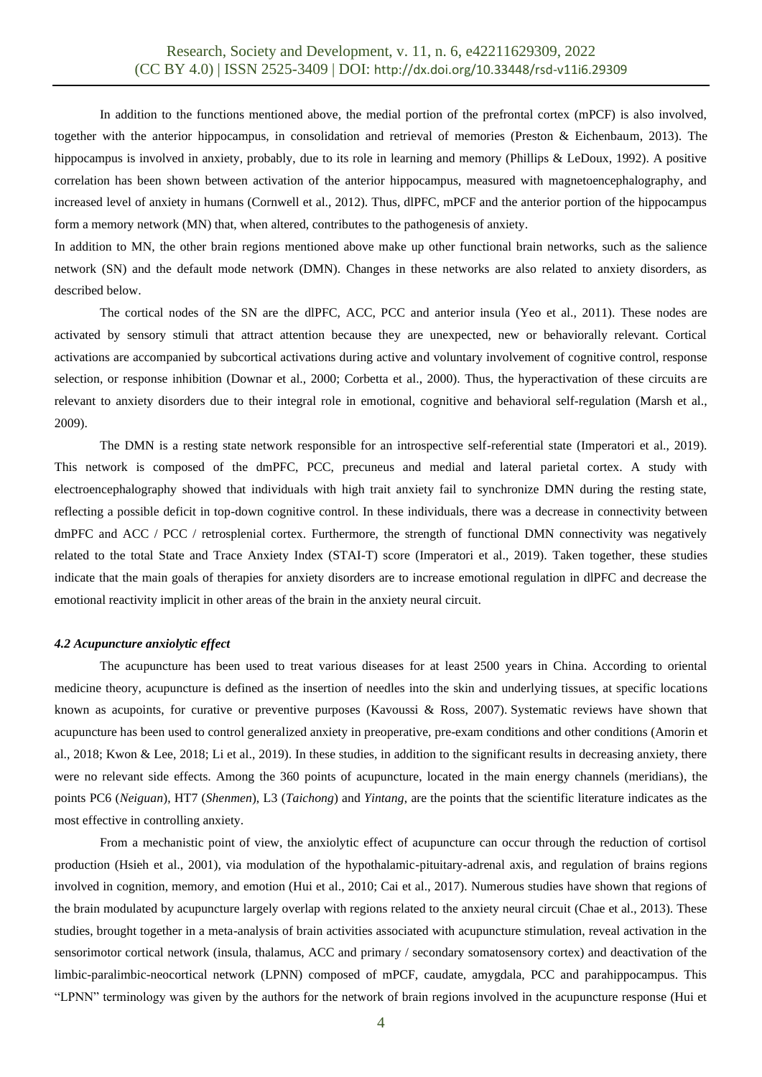In addition to the functions mentioned above, the medial portion of the prefrontal cortex (mPCF) is also involved, together with the anterior hippocampus, in consolidation and retrieval of memories (Preston & Eichenbaum, 2013). The hippocampus is involved in anxiety, probably, due to its role in learning and memory (Phillips & LeDoux, 1992). A positive correlation has been shown between activation of the anterior hippocampus, measured with magnetoencephalography, and increased level of anxiety in humans (Cornwell et al., 2012). Thus, dlPFC, mPCF and the anterior portion of the hippocampus form a memory network (MN) that, when altered, contributes to the pathogenesis of anxiety.

In addition to MN, the other brain regions mentioned above make up other functional brain networks, such as the salience network (SN) and the default mode network (DMN). Changes in these networks are also related to anxiety disorders, as described below.

The cortical nodes of the SN are the dlPFC, ACC, PCC and anterior insula (Yeo et al., 2011). These nodes are activated by sensory stimuli that attract attention because they are unexpected, new or behaviorally relevant. Cortical activations are accompanied by subcortical activations during active and voluntary involvement of cognitive control, response selection, or response inhibition (Downar et al., 2000; Corbetta et al., 2000). Thus, the hyperactivation of these circuits are relevant to anxiety disorders due to their integral role in emotional, cognitive and behavioral self-regulation (Marsh et al., 2009).

The DMN is a resting state network responsible for an introspective self-referential state (Imperatori et al., 2019). This network is composed of the dmPFC, PCC, precuneus and medial and lateral parietal cortex. A study with electroencephalography showed that individuals with high trait anxiety fail to synchronize DMN during the resting state, reflecting a possible deficit in top-down cognitive control. In these individuals, there was a decrease in connectivity between dmPFC and ACC / PCC / retrosplenial cortex. Furthermore, the strength of functional DMN connectivity was negatively related to the total State and Trace Anxiety Index (STAI-T) score (Imperatori et al., 2019). Taken together, these studies indicate that the main goals of therapies for anxiety disorders are to increase emotional regulation in dlPFC and decrease the emotional reactivity implicit in other areas of the brain in the anxiety neural circuit.

#### *4.2 Acupuncture anxiolytic effect*

The acupuncture has been used to treat various diseases for at least 2500 years in China. According to oriental medicine theory, acupuncture is defined as the insertion of needles into the skin and underlying tissues, at specific locations known as acupoints, for curative or preventive purposes (Kavoussi & Ross, 2007). Systematic reviews have shown that acupuncture has been used to control generalized anxiety in preoperative, pre-exam conditions and other conditions (Amorin et al., 2018; Kwon & Lee, 2018; Li et al., 2019). In these studies, in addition to the significant results in decreasing anxiety, there were no relevant side effects. Among the 360 points of acupuncture, located in the main energy channels (meridians), the points PC6 (*Neiguan*), HT7 (*Shenmen*), L3 (*Taichong*) and *Yintang*, are the points that the scientific literature indicates as the most effective in controlling anxiety.

From a mechanistic point of view, the anxiolytic effect of acupuncture can occur through the reduction of cortisol production (Hsieh et al., 2001), via modulation of the hypothalamic-pituitary-adrenal axis, and regulation of brains regions involved in cognition, memory, and emotion (Hui et al., 2010; Cai et al., 2017). Numerous studies have shown that regions of the brain modulated by acupuncture largely overlap with regions related to the anxiety neural circuit (Chae et al., 2013). These studies, brought together in a meta-analysis of brain activities associated with acupuncture stimulation, reveal activation in the sensorimotor cortical network (insula, thalamus, ACC and primary / secondary somatosensory cortex) and deactivation of the limbic-paralimbic-neocortical network (LPNN) composed of mPCF, caudate, amygdala, PCC and parahippocampus. This "LPNN" terminology was given by the authors for the network of brain regions involved in the acupuncture response (Hui et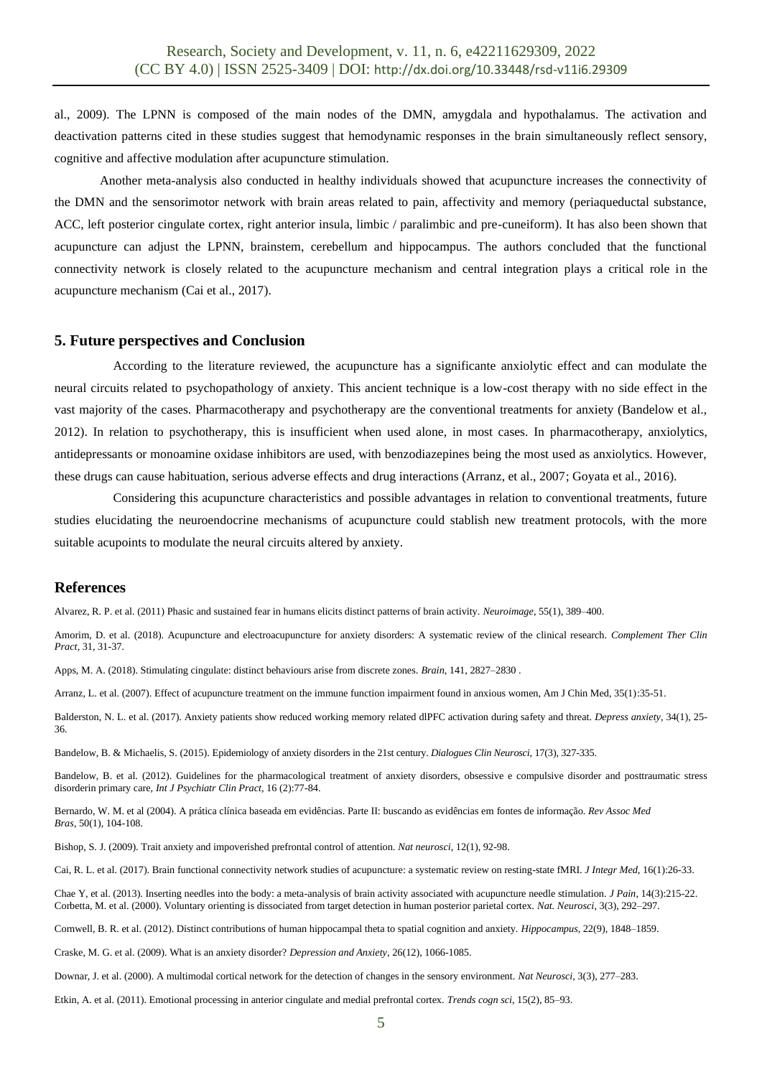al., 2009). The LPNN is composed of the main nodes of the DMN, amygdala and hypothalamus. The activation and deactivation patterns cited in these studies suggest that hemodynamic responses in the brain simultaneously reflect sensory, cognitive and affective modulation after acupuncture stimulation.

Another meta-analysis also conducted in healthy individuals showed that acupuncture increases the connectivity of the DMN and the sensorimotor network with brain areas related to pain, affectivity and memory (periaqueductal substance, ACC, left posterior cingulate cortex, right anterior insula, limbic / paralimbic and pre-cuneiform). It has also been shown that acupuncture can adjust the LPNN, brainstem, cerebellum and hippocampus. The authors concluded that the functional connectivity network is closely related to the acupuncture mechanism and central integration plays a critical role in the acupuncture mechanism (Cai et al., 2017).

#### **5. Future perspectives and Conclusion**

According to the literature reviewed, the acupuncture has a significante anxiolytic effect and can modulate the neural circuits related to psychopathology of anxiety. This ancient technique is a low-cost therapy with no side effect in the vast majority of the cases. Pharmacotherapy and psychotherapy are the conventional treatments for anxiety (Bandelow et al., 2012). In relation to psychotherapy, this is insufficient when used alone, in most cases. In pharmacotherapy, anxiolytics, antidepressants or monoamine oxidase inhibitors are used, with benzodiazepines being the most used as anxiolytics. However, these drugs can cause habituation, serious adverse effects and drug interactions (Arranz, et al., 2007; Goyata et al., 2016).

Considering this acupuncture characteristics and possible advantages in relation to conventional treatments, future studies elucidating the neuroendocrine mechanisms of acupuncture could stablish new treatment protocols, with the more suitable acupoints to modulate the neural circuits altered by anxiety.

## **References**

Alvarez, R. P. et al. (2011) Phasic and sustained fear in humans elicits distinct patterns of brain activity. *Neuroimage*, 55(1), 389–400.

Amorim, D. et al. (2018). Acupuncture and electroacupuncture for anxiety disorders: A systematic review of the clinical research. *Complement Ther Clin Pract*, 31, 31-37.

Apps, M. A. (2018). Stimulating cingulate: distinct behaviours arise from discrete zones. *Brain*, 141, 2827–2830 .

Arranz, L. et al. (2007). Effect of acupuncture treatment on the immune function impairment found in anxious women, Am J Chin Med, 35(1):35-51.

Balderston, N. L. et al. (2017). Anxiety patients show reduced working memory related dlPFC activation during safety and threat. *Depress anxiety*, 34(1), 25- 36.

Bandelow, B. & Michaelis, S. (2015). Epidemiology of anxiety disorders in the 21st century. *Dialogues Clin Neurosci*, 17(3), 327-335.

Bandelow, B. et al. (2012). Guidelines for the pharmacological treatment of anxiety disorders, obsessive e compulsive disorder and posttraumatic stress disorderin primary care, *Int J Psychiatr Clin Pract*, 16 (2):77-84.

Bernardo, W. M. et al (2004). A prática clínica baseada em evidências. Parte II: buscando as evidências em fontes de informação. *Rev Assoc Med Bras*, 50(1), 104-108.

Bishop, S. J. (2009). Trait anxiety and impoverished prefrontal control of attention. *Nat neurosci*, 12(1), 92-98.

Cai, R. L. et al. (2017). Brain functional connectivity network studies of acupuncture: a systematic review on resting-state fMRI. *J Integr Med,* 16(1):26-33.

Chae Y, et al. (2013). Inserting needles into the body: a meta-analysis of brain activity associated with acupuncture needle stimulation. *J Pain*, 14(3):215-22. Corbetta, M. et al. (2000). Voluntary orienting is dissociated from target detection in human posterior parietal cortex. *Nat. Neurosci*, 3(3), 292–297.

Cornwell, B. R. et al. (2012). Distinct contributions of human hippocampal theta to spatial cognition and anxiety. *Hippocampus*, 22(9), 1848–1859.

Craske, M. G. et al. (2009). What is an anxiety disorder? *Depression and Anxiety,* 26(12), 1066-1085.

Downar, J. et al. (2000). A multimodal cortical network for the detection of changes in the sensory environment. *Nat Neurosci*, 3(3), 277–283.

Etkin, A. et al. (2011). Emotional processing in anterior cingulate and medial prefrontal cortex. *Trends cogn sci*, 15(2), 85–93.